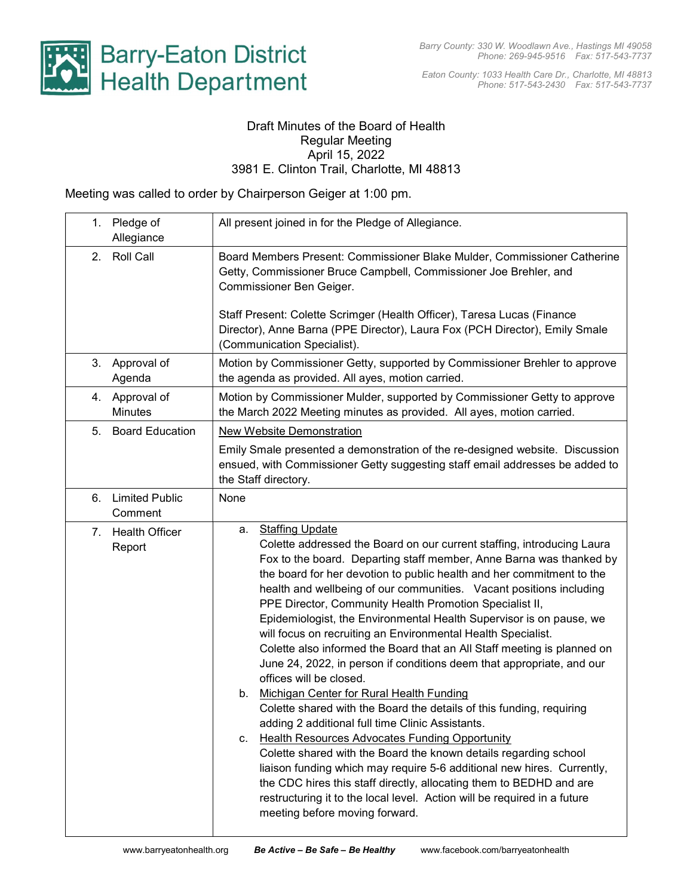

Eaton County: 1033 Health Care Dr., Charlotte, MI 48813 Phone: 517-543-2430 Fax: 517-543-7737

## Draft Minutes of the Board of Health Regular Meeting April 15, 2022 3981 E. Clinton Trail, Charlotte, MI 48813

Meeting was called to order by Chairperson Geiger at 1:00 pm.

|                | 1. Pledge of<br>Allegiance       | All present joined in for the Pledge of Allegiance.                                                                                                                                                                                                                                                                                                                                                                                                                                                                                                                                                                                                                                                                                                                                                                                                                                                                                                                                                                                                                                                                                                                                                                                                                                     |  |  |  |  |
|----------------|----------------------------------|-----------------------------------------------------------------------------------------------------------------------------------------------------------------------------------------------------------------------------------------------------------------------------------------------------------------------------------------------------------------------------------------------------------------------------------------------------------------------------------------------------------------------------------------------------------------------------------------------------------------------------------------------------------------------------------------------------------------------------------------------------------------------------------------------------------------------------------------------------------------------------------------------------------------------------------------------------------------------------------------------------------------------------------------------------------------------------------------------------------------------------------------------------------------------------------------------------------------------------------------------------------------------------------------|--|--|--|--|
|                | 2. Roll Call                     | Board Members Present: Commissioner Blake Mulder, Commissioner Catherine<br>Getty, Commissioner Bruce Campbell, Commissioner Joe Brehler, and<br>Commissioner Ben Geiger.                                                                                                                                                                                                                                                                                                                                                                                                                                                                                                                                                                                                                                                                                                                                                                                                                                                                                                                                                                                                                                                                                                               |  |  |  |  |
|                |                                  | Staff Present: Colette Scrimger (Health Officer), Taresa Lucas (Finance<br>Director), Anne Barna (PPE Director), Laura Fox (PCH Director), Emily Smale<br>(Communication Specialist).                                                                                                                                                                                                                                                                                                                                                                                                                                                                                                                                                                                                                                                                                                                                                                                                                                                                                                                                                                                                                                                                                                   |  |  |  |  |
|                | 3. Approval of<br>Agenda         | Motion by Commissioner Getty, supported by Commissioner Brehler to approve<br>the agenda as provided. All ayes, motion carried.                                                                                                                                                                                                                                                                                                                                                                                                                                                                                                                                                                                                                                                                                                                                                                                                                                                                                                                                                                                                                                                                                                                                                         |  |  |  |  |
|                | 4. Approval of<br><b>Minutes</b> | Motion by Commissioner Mulder, supported by Commissioner Getty to approve<br>the March 2022 Meeting minutes as provided. All ayes, motion carried.                                                                                                                                                                                                                                                                                                                                                                                                                                                                                                                                                                                                                                                                                                                                                                                                                                                                                                                                                                                                                                                                                                                                      |  |  |  |  |
| 5 <sub>1</sub> | <b>Board Education</b>           | <b>New Website Demonstration</b><br>Emily Smale presented a demonstration of the re-designed website. Discussion<br>ensued, with Commissioner Getty suggesting staff email addresses be added to<br>the Staff directory.                                                                                                                                                                                                                                                                                                                                                                                                                                                                                                                                                                                                                                                                                                                                                                                                                                                                                                                                                                                                                                                                |  |  |  |  |
| 6.             | <b>Limited Public</b><br>Comment | None                                                                                                                                                                                                                                                                                                                                                                                                                                                                                                                                                                                                                                                                                                                                                                                                                                                                                                                                                                                                                                                                                                                                                                                                                                                                                    |  |  |  |  |
| 7.             | <b>Health Officer</b><br>Report  | <b>Staffing Update</b><br>a.<br>Colette addressed the Board on our current staffing, introducing Laura<br>Fox to the board. Departing staff member, Anne Barna was thanked by<br>the board for her devotion to public health and her commitment to the<br>health and wellbeing of our communities. Vacant positions including<br>PPE Director, Community Health Promotion Specialist II,<br>Epidemiologist, the Environmental Health Supervisor is on pause, we<br>will focus on recruiting an Environmental Health Specialist.<br>Colette also informed the Board that an All Staff meeting is planned on<br>June 24, 2022, in person if conditions deem that appropriate, and our<br>offices will be closed.<br>Michigan Center for Rural Health Funding<br>b.<br>Colette shared with the Board the details of this funding, requiring<br>adding 2 additional full time Clinic Assistants.<br>Health Resources Advocates Funding Opportunity<br>C.<br>Colette shared with the Board the known details regarding school<br>liaison funding which may require 5-6 additional new hires. Currently,<br>the CDC hires this staff directly, allocating them to BEDHD and are<br>restructuring it to the local level. Action will be required in a future<br>meeting before moving forward. |  |  |  |  |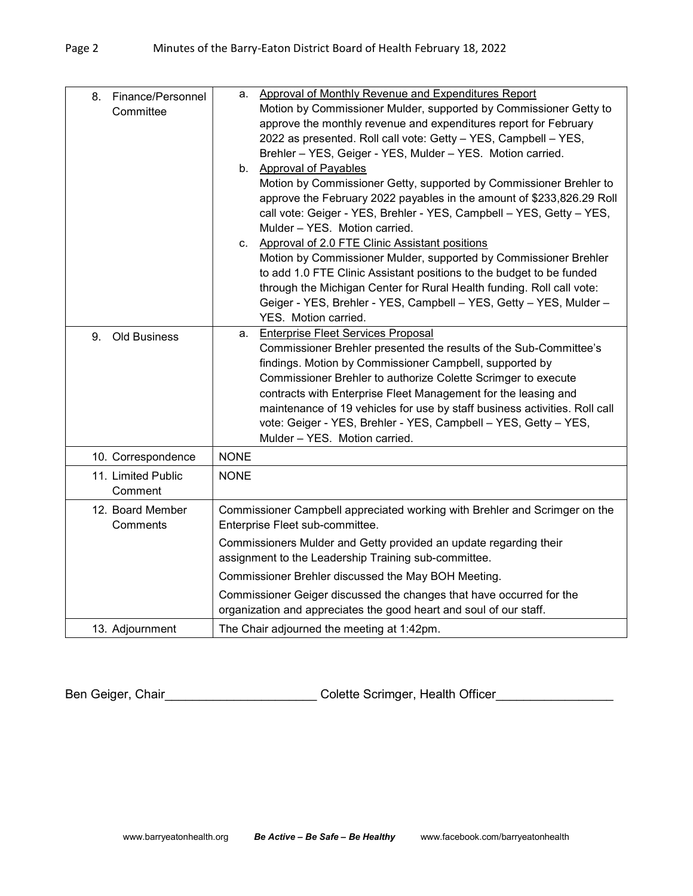| 8. Finance/Personnel<br>Committee | Approval of Monthly Revenue and Expenditures Report<br>а.<br>Motion by Commissioner Mulder, supported by Commissioner Getty to                |  |  |  |  |
|-----------------------------------|-----------------------------------------------------------------------------------------------------------------------------------------------|--|--|--|--|
|                                   | approve the monthly revenue and expenditures report for February                                                                              |  |  |  |  |
|                                   | 2022 as presented. Roll call vote: Getty - YES, Campbell - YES,                                                                               |  |  |  |  |
|                                   | Brehler - YES, Geiger - YES, Mulder - YES. Motion carried.                                                                                    |  |  |  |  |
|                                   | b. Approval of Payables                                                                                                                       |  |  |  |  |
|                                   | Motion by Commissioner Getty, supported by Commissioner Brehler to                                                                            |  |  |  |  |
|                                   | approve the February 2022 payables in the amount of \$233,826.29 Roll                                                                         |  |  |  |  |
|                                   | call vote: Geiger - YES, Brehler - YES, Campbell - YES, Getty - YES,                                                                          |  |  |  |  |
|                                   | Mulder - YES. Motion carried.                                                                                                                 |  |  |  |  |
|                                   | c. Approval of 2.0 FTE Clinic Assistant positions                                                                                             |  |  |  |  |
|                                   | Motion by Commissioner Mulder, supported by Commissioner Brehler                                                                              |  |  |  |  |
|                                   | to add 1.0 FTE Clinic Assistant positions to the budget to be funded                                                                          |  |  |  |  |
|                                   | through the Michigan Center for Rural Health funding. Roll call vote:                                                                         |  |  |  |  |
|                                   | Geiger - YES, Brehler - YES, Campbell - YES, Getty - YES, Mulder -                                                                            |  |  |  |  |
|                                   | YES. Motion carried.                                                                                                                          |  |  |  |  |
| 9.<br><b>Old Business</b>         | <b>Enterprise Fleet Services Proposal</b><br>a.                                                                                               |  |  |  |  |
|                                   | Commissioner Brehler presented the results of the Sub-Committee's                                                                             |  |  |  |  |
|                                   | findings. Motion by Commissioner Campbell, supported by                                                                                       |  |  |  |  |
|                                   | Commissioner Brehler to authorize Colette Scrimger to execute                                                                                 |  |  |  |  |
|                                   | contracts with Enterprise Fleet Management for the leasing and                                                                                |  |  |  |  |
|                                   | maintenance of 19 vehicles for use by staff business activities. Roll call<br>vote: Geiger - YES, Brehler - YES, Campbell - YES, Getty - YES, |  |  |  |  |
|                                   | Mulder - YES. Motion carried.                                                                                                                 |  |  |  |  |
|                                   | <b>NONE</b>                                                                                                                                   |  |  |  |  |
| 10. Correspondence                |                                                                                                                                               |  |  |  |  |
| 11. Limited Public                | <b>NONE</b>                                                                                                                                   |  |  |  |  |
| Comment                           |                                                                                                                                               |  |  |  |  |
| 12. Board Member                  | Commissioner Campbell appreciated working with Brehler and Scrimger on the                                                                    |  |  |  |  |
| Comments                          | Enterprise Fleet sub-committee.                                                                                                               |  |  |  |  |
|                                   | Commissioners Mulder and Getty provided an update regarding their                                                                             |  |  |  |  |
|                                   | assignment to the Leadership Training sub-committee.                                                                                          |  |  |  |  |
|                                   | Commissioner Brehler discussed the May BOH Meeting.                                                                                           |  |  |  |  |
|                                   | Commissioner Geiger discussed the changes that have occurred for the                                                                          |  |  |  |  |
|                                   | organization and appreciates the good heart and soul of our staff.                                                                            |  |  |  |  |
| 13. Adjournment                   | The Chair adjourned the meeting at 1:42pm.                                                                                                    |  |  |  |  |

Ben Geiger, Chair\_\_\_\_\_\_\_\_\_\_\_\_\_\_\_\_\_\_\_\_\_\_\_\_\_\_\_Colette Scrimger, Health Officer\_\_\_\_\_\_\_\_\_\_\_\_\_\_\_\_\_\_\_\_\_\_\_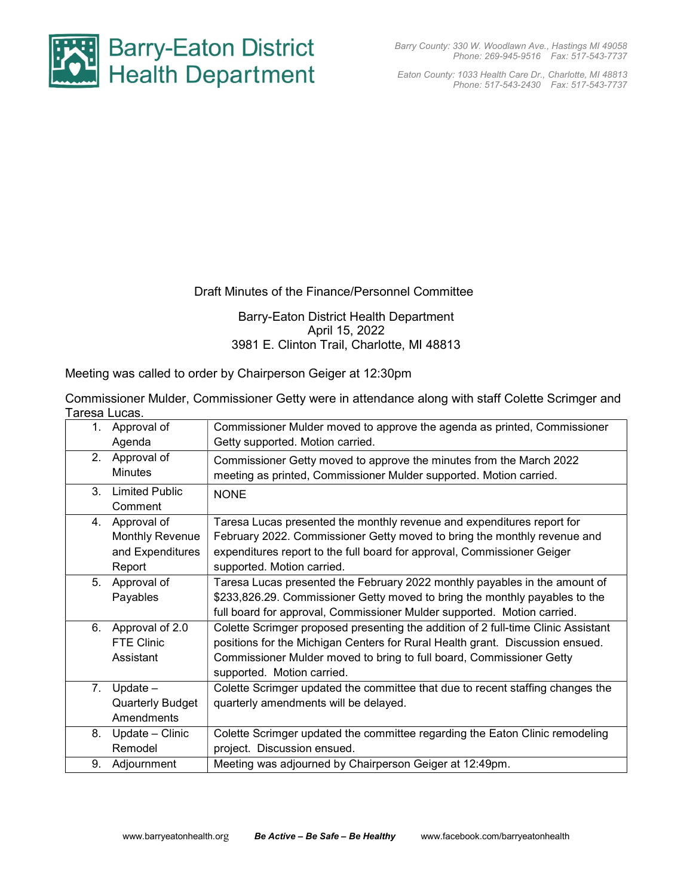

Eaton County: 1033 Health Care Dr., Charlotte, MI 48813 Phone: 517-543-2430 Fax: 517-543-7737

## Draft Minutes of the Finance/Personnel Committee

## Barry-Eaton District Health Department April 15, 2022 3981 E. Clinton Trail, Charlotte, MI 48813

Meeting was called to order by Chairperson Geiger at 12:30pm

| Commissioner Mulder, Commissioner Getty were in attendance along with staff Colette Scrimger and |  |  |  |
|--------------------------------------------------------------------------------------------------|--|--|--|
| Taresa Lucas.                                                                                    |  |  |  |

| 1.             | Approval of             | Commissioner Mulder moved to approve the agenda as printed, Commissioner          |
|----------------|-------------------------|-----------------------------------------------------------------------------------|
|                | Agenda                  | Getty supported. Motion carried.                                                  |
| 2.             | Approval of             | Commissioner Getty moved to approve the minutes from the March 2022               |
|                | <b>Minutes</b>          | meeting as printed, Commissioner Mulder supported. Motion carried.                |
| 3 <sub>1</sub> | <b>Limited Public</b>   |                                                                                   |
|                | Comment                 | <b>NONE</b>                                                                       |
|                |                         |                                                                                   |
| 4.             | Approval of             | Taresa Lucas presented the monthly revenue and expenditures report for            |
|                | <b>Monthly Revenue</b>  | February 2022. Commissioner Getty moved to bring the monthly revenue and          |
|                | and Expenditures        | expenditures report to the full board for approval, Commissioner Geiger           |
|                | Report                  | supported. Motion carried.                                                        |
| 5.             | Approval of             | Taresa Lucas presented the February 2022 monthly payables in the amount of        |
|                | Payables                | \$233,826.29. Commissioner Getty moved to bring the monthly payables to the       |
|                |                         | full board for approval, Commissioner Mulder supported. Motion carried.           |
| 6.             | Approval of 2.0         | Colette Scrimger proposed presenting the addition of 2 full-time Clinic Assistant |
|                | <b>FTE Clinic</b>       | positions for the Michigan Centers for Rural Health grant. Discussion ensued.     |
|                | Assistant               | Commissioner Mulder moved to bring to full board, Commissioner Getty              |
|                |                         | supported. Motion carried.                                                        |
| 7.             | Update $-$              | Colette Scrimger updated the committee that due to recent staffing changes the    |
|                | <b>Quarterly Budget</b> | quarterly amendments will be delayed.                                             |
|                | Amendments              |                                                                                   |
| 8.             | Update - Clinic         | Colette Scrimger updated the committee regarding the Eaton Clinic remodeling      |
|                | Remodel                 | project. Discussion ensued.                                                       |
| 9.             | Adjournment             | Meeting was adjourned by Chairperson Geiger at 12:49pm.                           |